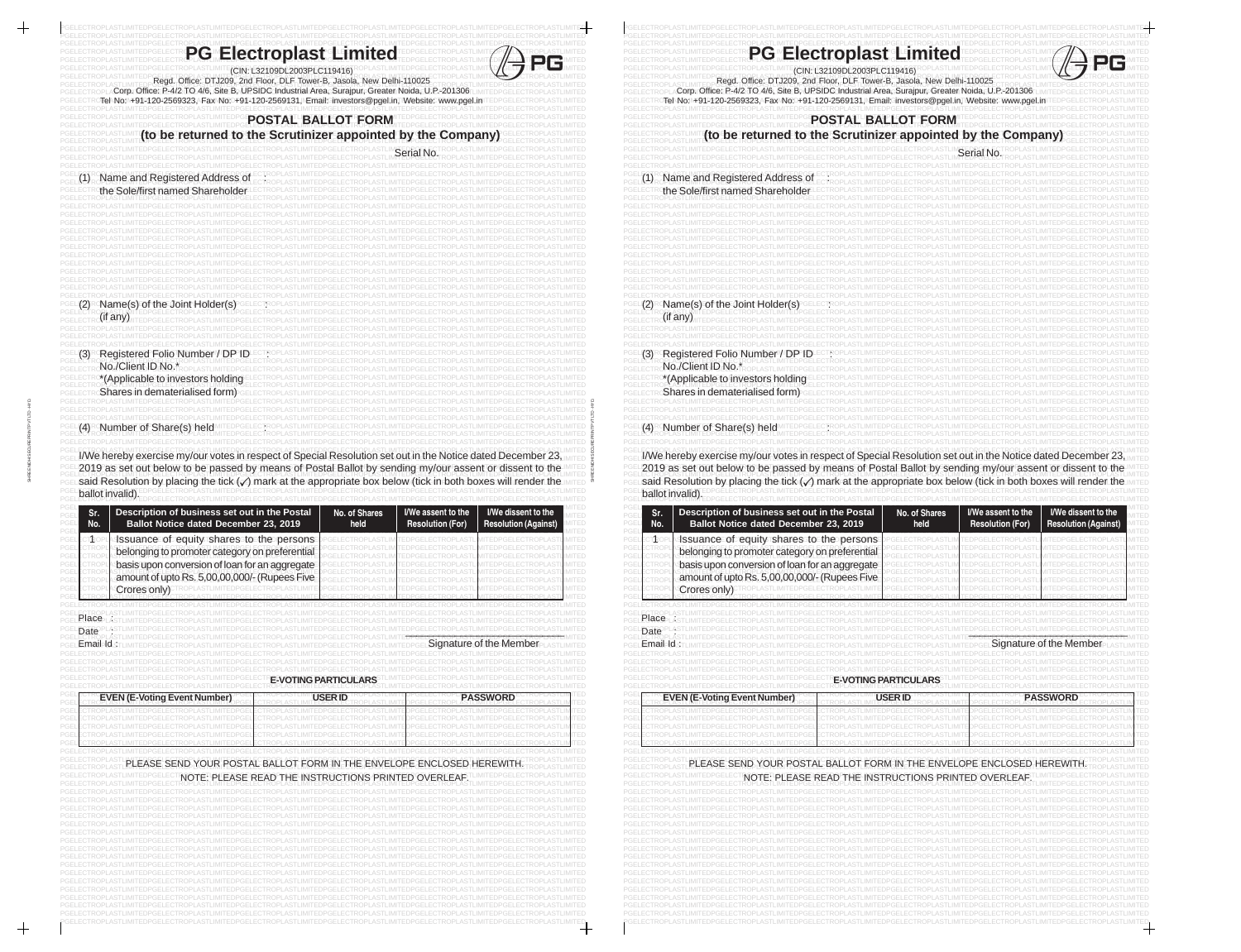$\begin{tabular}{c} \top \end{tabular}$ 

 $\,+\,$ 

| <b>PG Electroplast Limited</b><br>(CIN: L32109DL2003PLC119416)                                                                                                                                                                                                                                                                                                                                                                                                                                                                                                                                                                                                                                                                  |                                                                                                                                                                           | <b>PG Electroplast Limited</b><br>(CIN: L32109DL2003PLC119416)                                                                                                                                                                                                                                                                                                                                                                                           |                                                    |
|---------------------------------------------------------------------------------------------------------------------------------------------------------------------------------------------------------------------------------------------------------------------------------------------------------------------------------------------------------------------------------------------------------------------------------------------------------------------------------------------------------------------------------------------------------------------------------------------------------------------------------------------------------------------------------------------------------------------------------|---------------------------------------------------------------------------------------------------------------------------------------------------------------------------|----------------------------------------------------------------------------------------------------------------------------------------------------------------------------------------------------------------------------------------------------------------------------------------------------------------------------------------------------------------------------------------------------------------------------------------------------------|----------------------------------------------------|
| Regd. Office: DTJ209, 2nd Floor, DLF Tower-B, Jasola, New Delhi-110025<br>Corp. Office: P-4/2 TO 4/6, Site B, UPSIDC Industrial Area, Surajpur, Greater Noida, U.P.-201306<br>Tel\No:\+91>120-2569323,^Fax\No:>+91-120-2569131,\Email:ෘinvestors@pgel.in,⊺Website:`www.pgel.                                                                                                                                                                                                                                                                                                                                                                                                                                                    |                                                                                                                                                                           | Regd. Office: DTJ209, 2nd Floor, DLF Tower-B, Jasola, New Delhi-110025<br>Corp. Office: P-4/2 TO 4/6, Site B, UPSIDC Industrial Area, Surajpur, Greater Noida, U.P.-201306<br>Tel-No:l\+91=120-2569323,^Fax\No:□+91-120-2569131,\\Email: investors@pgel.in, Website: www.pgel.                                                                                                                                                                           |                                                    |
| <b>POSTAL BALLOT FORM</b><br>(to be returned to the Scrutinizer appointed by the Company)                                                                                                                                                                                                                                                                                                                                                                                                                                                                                                                                                                                                                                       |                                                                                                                                                                           | <b>POSTAL BALLOT FORM</b><br>(to be returned to the Scrutinizer appointed by the Company)                                                                                                                                                                                                                                                                                                                                                                |                                                    |
|                                                                                                                                                                                                                                                                                                                                                                                                                                                                                                                                                                                                                                                                                                                                 |                                                                                                                                                                           |                                                                                                                                                                                                                                                                                                                                                                                                                                                          |                                                    |
| Name and Registered Address of<br>the Sole/first named Shareholder                                                                                                                                                                                                                                                                                                                                                                                                                                                                                                                                                                                                                                                              |                                                                                                                                                                           | Name and Registered Address of<br>the Sole/first named Shareholder                                                                                                                                                                                                                                                                                                                                                                                       |                                                    |
| Name(s) of the Joint Holder(s)<br>if an                                                                                                                                                                                                                                                                                                                                                                                                                                                                                                                                                                                                                                                                                         |                                                                                                                                                                           | Mame(s) of the Joint Holder(s                                                                                                                                                                                                                                                                                                                                                                                                                            |                                                    |
| Registered Folio Number / DP ID<br>PGEL <b>(3)</b> R<br>No./Client ID No.*<br>*(Applicable to investors holding<br>Shares in dematerialised form)                                                                                                                                                                                                                                                                                                                                                                                                                                                                                                                                                                               |                                                                                                                                                                           | PGEL <b>{3)</b> R<br>Registered Folio Number / DP ID<br>No./Client ID No.*<br>PGEL<br>*(Applicable to investors holding<br>Shares in dematerialised form)                                                                                                                                                                                                                                                                                                |                                                    |
|                                                                                                                                                                                                                                                                                                                                                                                                                                                                                                                                                                                                                                                                                                                                 |                                                                                                                                                                           |                                                                                                                                                                                                                                                                                                                                                                                                                                                          |                                                    |
| Number of Share(s) held                                                                                                                                                                                                                                                                                                                                                                                                                                                                                                                                                                                                                                                                                                         |                                                                                                                                                                           | Number of Share(s) held<br>I/We hereby exercise my/our votes in respect of Special Resolution set out in the Notice dated December 23<br>2019 as set out below to be passed by means of Postal Ballot by sending my/our assent or dissent to the<br>said Resolution by placing the tick (v) mark at the appropriate box below (tick in both boxes will render the                                                                                        |                                                    |
| I/We hereby exercise my/our votes in respect of Special Resolution set out in the Notice dated December 23<br>2019 as set out below to be passed by means of Postal Ballot by sending my/our assent or dissent to the<br>said Resolution by placing the tick (v) mark at the appropriate box below (tick in both boxes will render the<br>ballot invalid).<br>Sr.<br>Description of business set out in the Postal<br>No. of Shares<br>No.<br>Ballot Notice dated December 23, 2019<br>held<br>Issuance≡of equity shares to the persons<br>$\mathbb{T}$ to<br>belonging to promoter category on preferential<br>basis upon conversion of loan for an aggregate<br>amount of upto Rs. 5,00,00,000/- (Rupees Five<br>Crores only) | I/We assent to the<br>I/We dissent to the<br><b>Resolution (For)</b><br><b>Resolution (Against)</b><br>ED<br>TED.<br>ITED.<br>ITED<br>TED<br><b>ITED</b><br>ITED<br>1ITED | ballot invalid).<br>Sr.<br>Description of business set out in the Postal<br>No. of Shares<br>PGEI<br>Ballot Notice dated December 23, 2019<br>PGE<br>No.<br>held<br>PGE<br>Issuance of equity shares to the persons<br>PGEL<br>TRC<br>PGEL<br>belonging to promoter category on preferential<br>PGELI<br>basis upon conversion of loan for an aggregate<br>PGEL<br>PGEL<br>amount of upto Rs. 5,00,00,000/- (Rupees Five<br>PGEL<br>PGEL<br>Crores only) | I/We assent to the<br><b>Resolution (For)</b>      |
|                                                                                                                                                                                                                                                                                                                                                                                                                                                                                                                                                                                                                                                                                                                                 |                                                                                                                                                                           | PGEL                                                                                                                                                                                                                                                                                                                                                                                                                                                     |                                                    |
| PIace<br><b>Date</b><br>Email∍ld                                                                                                                                                                                                                                                                                                                                                                                                                                                                                                                                                                                                                                                                                                | Signature of the Member                                                                                                                                                   | Place<br>Date<br>Emailld                                                                                                                                                                                                                                                                                                                                                                                                                                 | Signature of the Mem                               |
| <b>E-VOTING PARTICULARS</b>                                                                                                                                                                                                                                                                                                                                                                                                                                                                                                                                                                                                                                                                                                     |                                                                                                                                                                           | PGEL<br><b>E-VOTING PARTICULARS</b><br>PGELE                                                                                                                                                                                                                                                                                                                                                                                                             |                                                    |
| <b>USER ID</b><br><b>EVEN (E-Voting Event Number)</b>                                                                                                                                                                                                                                                                                                                                                                                                                                                                                                                                                                                                                                                                           | PASSWORD<br>ED<br>ED.<br>ED.<br><b>TED</b>                                                                                                                                | PGE<br><b>USER ID</b><br><b>EVEN (E-Voting Event Number)</b><br>PGE<br>PGE<br>PGE<br>PGE                                                                                                                                                                                                                                                                                                                                                                 | <b>PASSWORD</b>                                    |
| PLEASE SEND YOUR POSTAL BALLOT FORM IN THE ENVELOPE ENCLOSED HEREWITH<br>NOTE: PLEASE READ THE INSTRUCTIONS PRINTED OVERLEAF.                                                                                                                                                                                                                                                                                                                                                                                                                                                                                                                                                                                                   | TED.                                                                                                                                                                      | PGE<br>PLEASE SEND YOUR POSTAL BALLOT FORM IN THE ENVELOPE ENCLOSED HEREWITH<br>NOTE: PLEASE READ THE INSTRUCTIONS PRINTED OVERLEAF.<br>PGELE<br>PGELE<br>PGELE                                                                                                                                                                                                                                                                                          | I/We dissent to the<br><b>Resolution (Against)</b> |